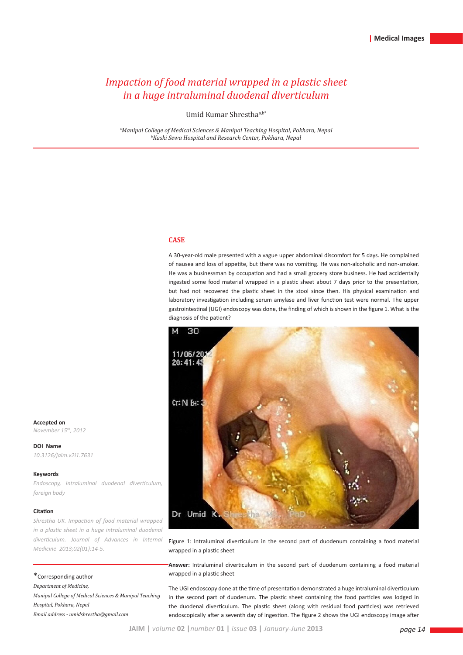# *Impaction of food material wrapped in a plastic sheet in a huge intraluminal duodenal diverticulum*

Umid Kumar Shresthaa,b\*

Manipal College of Medical Sciences & Manipal Teaching Hospital, Pokhara, Nepal ف<br>bKaski Sewa Hospital and Research Center, Pokhara, Nepal *Kaski Sewa Hospital and Research Center, Pokhara, Nepal* 

## **CASE**

A 30-year-old male presented with a vague upper abdominal discomfort for 5 days. He complained of nausea and loss of appetite, but there was no vomiting. He was non-alcoholic and non-smoker. He was a businessman by occupation and had a small grocery store business. He had accidentally ingested some food material wrapped in a plastic sheet about 7 days prior to the presentation, but had not recovered the plastic sheet in the stool since then. His physical examination and laboratory investigation including serum amylase and liver function test were normal. The upper gastrointestinal (UGI) endoscopy was done, the finding of which is shown in the figure 1. What is the diagnosis of the patient?



Figure 1: Intraluminal diverticulum in the second part of duodenum containing a food material wrapped in a plastic sheet

**Answer:** Intraluminal diverticulum in the second part of duodenum containing a food material wrapped in a plastic sheet

The UGI endoscopy done at the time of presentation demonstrated a huge intraluminal diverticulum in the second part of duodenum. The plastic sheet containing the food particles was lodged in the duodenal diverticulum. The plastic sheet (along with residual food particles) was retrieved endoscopically after a seventh day of ingestion. The figure 2 shows the UGI endoscopy image after

**Accepted on** *November 15th, 2012*

**DOI Name** *10.3126/jaim.v2i1.7631*

#### **Keywords**

*Endoscopy, intraluminal duodenal diverticulum, foreign body*

#### **Citation**

*Shrestha UK. Impaction of food material wrapped in a plastic sheet in a huge intraluminal duodenal diverticulum. Journal of Advances in Internal Medicine 2013;02(01):14-5.*

\*Corresponding author

*Department of Medicine,* 

*Manipal College of Medical Sciences & Manipal Teaching Hospital, Pokhara, Nepal Email address - umidshrestha@gmail.com*